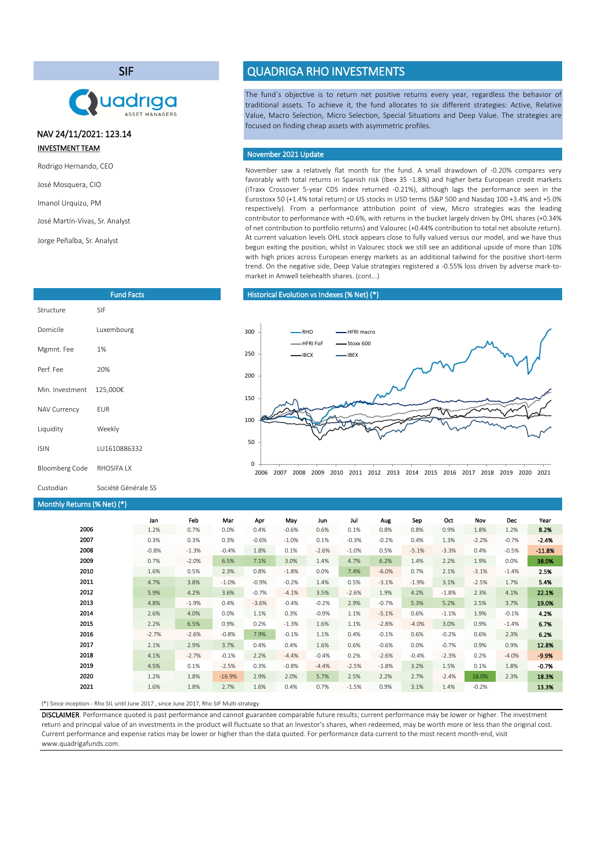## SIF

# **Uadriga**

# INVESTMENT TEAM NAV 24/11/2021: 123.14

- Rodrigo Hernando, CEO
- José Mosquera, CIO
- Imanol Urquizu, PM

```
José Martín-Vivas, Sr. Analyst
```

```
Jorge Peñalba, Sr. Analyst
```

|                       | <b>Fund Facts</b> |
|-----------------------|-------------------|
| Structure             | <b>SIF</b>        |
| Domicile              | Luxembourg        |
| Mgmnt. Fee            | 1%                |
| Perf. Fee             | 20%               |
| Min. Investment       | 125,000€          |
| <b>NAV Currency</b>   | <b>EUR</b>        |
| Liquidity             | Weekly            |
| <b>ISIN</b>           | LU1610886332      |
| <b>Bloomberg Code</b> | RHOSIFA IX        |

# QUADRIGA RHO INVESTMENTS

The fund´s objective is to return net positive returns every year, regardless the behavior of traditional assets. To achieve it, the fund allocates to six different strategies: Active, Relative Value, Macro Selection, Micro Selection, Special Situations and Deep Value. The strategies are focused on finding cheap assets with asymmetric profiles.

## November 2021 Update

November saw a relatively flat month for the fund. A small drawdown of -0.20% compares very favorably with total returns in Spanish risk (Ibex 35 -1.8%) and higher beta European credit markets (iTraxx Crossover 5-year CDS index returned -0.21%), although lags the performance seen in the Eurostoxx 50 (+1.4% total return) or US stocks in USD terms (S&P 500 and Nasdaq 100 +3.4% and +5.0% respectively). From a performance attribution point of view, Micro strategies was the leading contributor to performance with +0.6%, with returns in the bucket largely driven by OHL shares (+0.34% of net contribution to portfolio returns) and Valourec (+0.44% contribution to total net absolute return). At current valuation levels OHL stock appears close to fully valued versus our model, and we have thus begun exiting the position, whilst in Valourec stock we still see an additional upside of more than 10% with high prices across European energy markets as an additional tailwind for the positive short-term trend. On the negative side, Deep Value strategies registered a -0.55% loss driven by adverse mark-tomarket in Amwell telehealth shares. (cont...)

### Historical Evolution vs Indexes(% Net) (\*)



Custodian Société Générale SS

#### Monthly Returns(% Net) (\*)

|      | Jan     | Feb     | Mar      | Apr     | May     | Jun     | Jul     | Aug     | Sep     | Oct     | Nov     | Dec     | Year     |
|------|---------|---------|----------|---------|---------|---------|---------|---------|---------|---------|---------|---------|----------|
| 2006 | 1.2%    | 0.7%    | 0.0%     | 0.4%    | $-0.6%$ | 0.6%    | 0.1%    | 0.8%    | 0.8%    | 0.9%    | 1.8%    | 1.2%    | 8.2%     |
| 2007 | 0.3%    | 0.3%    | 0.3%     | $-0.6%$ | $-1.0%$ | 0.1%    | $-0.3%$ | $-0.2%$ | 0.4%    | 1.3%    | $-2.2%$ | $-0.7%$ | $-2.4%$  |
| 2008 | $-0.8%$ | $-1.3%$ | $-0.4%$  | 1.8%    | 0.1%    | $-2.6%$ | $-1.0%$ | 0.5%    | $-5.1%$ | $-3.3%$ | 0.4%    | $-0.5%$ | $-11.8%$ |
| 2009 | 0.7%    | $-2.0%$ | 6.5%     | 7.1%    | 3.0%    | 1.4%    | 4.7%    | 6.2%    | 1.4%    | 2.2%    | 1.9%    | 0.0%    | 38.0%    |
| 2010 | 1.6%    | 0.5%    | 2.3%     | 0.8%    | $-1.8%$ | 0.0%    | 7.4%    | $-6.0%$ | 0.7%    | 2.1%    | $-3.1%$ | $-1.4%$ | 2.5%     |
| 2011 | 4.7%    | 3.8%    | $-1.0%$  | $-0.9%$ | $-0.2%$ | 1.4%    | 0.5%    | $-3.1%$ | $-1.9%$ | 3.1%    | $-2.5%$ | 1.7%    | 5.4%     |
| 2012 | 5.9%    | 4.2%    | 3.6%     | $-0.7%$ | $-4.1%$ | 3.5%    | $-2.6%$ | 1.9%    | 4.2%    | $-1.8%$ | 2.3%    | 4.1%    | 22.1%    |
| 2013 | 4.8%    | $-1.9%$ | 0.4%     | $-3.6%$ | $-0.4%$ | $-0.2%$ | 2.9%    | $-0.7%$ | 5.3%    | 5.2%    | 2.5%    | 3.7%    | 19.0%    |
| 2014 | 2.6%    | 4.0%    | 0.0%     | 1.1%    | 0.3%    | $-0.9%$ | 1.1%    | $-5.1%$ | 0.6%    | $-1.1%$ | 1.9%    | $-0.1%$ | 4.2%     |
| 2015 | 2.2%    | 6.5%    | 0.9%     | 0.2%    | $-1.3%$ | 1.6%    | 1.1%    | $-2.8%$ | $-4.0%$ | 3.0%    | 0.9%    | $-1.4%$ | 6.7%     |
| 2016 | $-2.7%$ | $-2.6%$ | $-0.8%$  | 7.9%    | $-0.1%$ | 1.1%    | 0.4%    | $-0.1%$ | 0.6%    | $-0.2%$ | 0.6%    | 2.3%    | 6.2%     |
| 2017 | 2.1%    | 2.9%    | 3.7%     | 0.4%    | 0.4%    | 1.6%    | 0.6%    | $-0.6%$ | 0.0%    | $-0.7%$ | 0.9%    | 0.9%    | 12.8%    |
| 2018 | 4.1%    | $-2.7%$ | $-0.1%$  | 2.2%    | $-4.4%$ | $-0.4%$ | 0.2%    | $-2.6%$ | $-0.4%$ | $-2.3%$ | 0.2%    | $-4.0%$ | $-9.9%$  |
| 2019 | 4.5%    | 0.1%    | $-2.5%$  | 0.3%    | $-0.8%$ | $-4.4%$ | $-2.5%$ | $-1.8%$ | 3.2%    | 1.5%    | 0.1%    | 1.8%    | $-0.7%$  |
| 2020 | 1.2%    | 1.8%    | $-16.9%$ | 2.9%    | 2.0%    | 5.7%    | 2.5%    | 2.2%    | 2.7%    | $-2.4%$ | 16.0%   | 2.3%    | 18.3%    |
| 2021 | 1.6%    | 1.8%    | 2.7%     | 1.6%    | 0.4%    | 0.7%    | $-1.5%$ | 0.9%    | 3.1%    | 1.4%    | $-0.2%$ |         | 13.3%    |

(\*) Since inception - Rho SIL until June 2017 , since June 2017, Rho SIF Multi-strategy

DISCLAIMER. Performance quoted is past performance and cannot guarantee comparable future results; current performance may be lower or higher. The investment return and principal value of an investments in the product will fluctuate so that an Investor's shares, when redeemed, may be worth more or less than the original cost. Current performance and expense ratios may be lower or higher than the data quoted. For performance data current to the most recent month-end, visit www.quadrigafunds.com.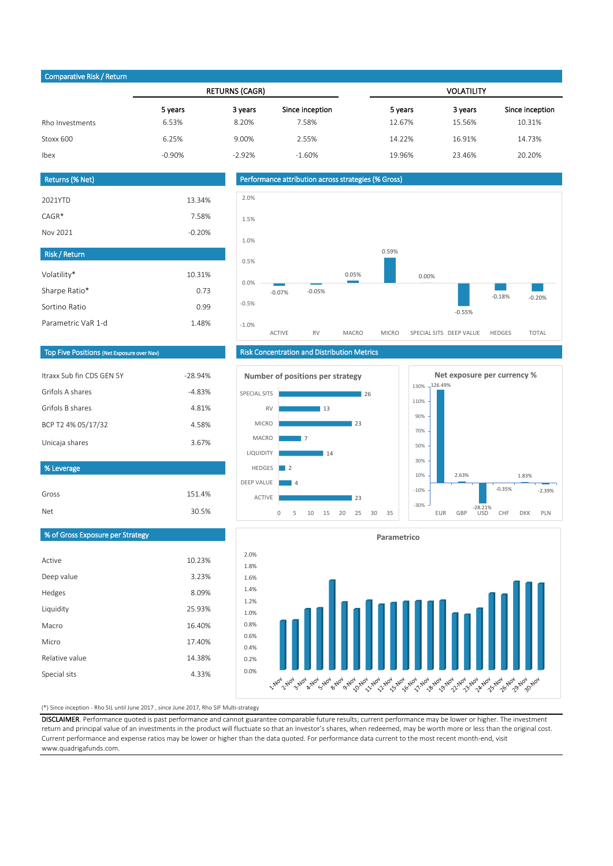| Comparative Risk / Return |          |                       |                 |                   |         |                 |  |
|---------------------------|----------|-----------------------|-----------------|-------------------|---------|-----------------|--|
|                           |          | <b>RETURNS (CAGR)</b> |                 | <b>VOLATILITY</b> |         |                 |  |
|                           | 5 years  | 3 years               | Since inception | 5 years           | 3 years | Since inception |  |
| Rho Investments           | 6.53%    | 8.20%                 | 7.58%           | 12.67%            | 15.56%  | 10.31%          |  |
| Stoxx 600                 | 6.25%    | 9.00%                 | 2.55%           | 14.22%            | 16.91%  | 14.73%          |  |
| Ibex                      | $-0.90%$ | $-2.92%$              | $-1.60%$        | 19.96%            | 23.46%  | 20.20%          |  |
|                           |          |                       |                 |                   |         |                 |  |

| Returns (% Net)      |          |
|----------------------|----------|
| 2021YTD              | 13.34%   |
| $CAGR*$              | 7.58%    |
| Nov 2021             | $-0.20%$ |
| <b>Risk / Return</b> |          |
| Volatility*          | 10.31%   |
| Sharpe Ratio*        | 0.73     |
| Sortino Ratio        | 0.99     |
| Parametric VaR 1-d   | 1.48%    |



# Top Five Positions (Net Exposure over Nav)

| $-28.94%$ |
|-----------|
| $-4.83%$  |
| 4.81%     |
| 4.58%     |
| 3.67%     |
|           |

### % Leverage

| Gross | 151.4% |
|-------|--------|
| Net   | 30.5%  |

# % of Gross Exposure per Strategy

| Active         | 10.23% |
|----------------|--------|
| Deep value     | 3.23%  |
| Hedges         | 8.09%  |
| Liquidity      | 25.93% |
| Macro          | 16.40% |
| Micro          | 17.40% |
| Relative value | 14.38% |
| Special sits   | 4.33%  |

# Risk Concentration and Distribution Metrics







#### (\*) Since inception - Rho SIL until June 2017 , since June 2017, Rho SIF Multi-strategy

DISCLAIMER. Performance quoted is past performance and cannot guarantee comparable future results; current performance may be lower or higher. The investment return and principal value of an investments in the product will fluctuate so that an Investor's shares, when redeemed, may be worth more or less than the original cost. Current performance and expense ratios may be lower or higher than the data quoted. For performance data current to the most recent month-end, visit www.quadrigafunds.com.

0.0% 0.2% 0.4% 0.6% 0.8% 1.0% 1.2% 1.4% 1.6% 1.8% 2.0%